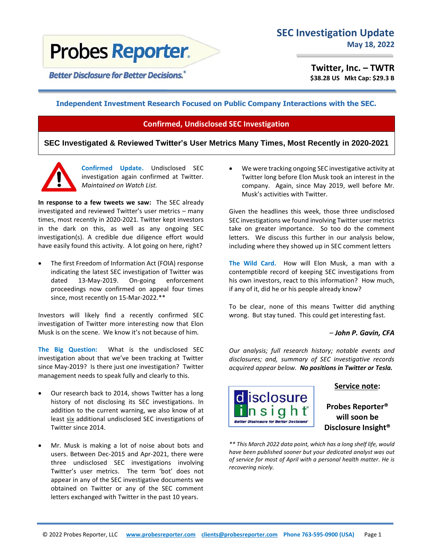# **Probes Reporter.**

**Better Disclosure for Better Decisions.** 

**Twitter, Inc. – TWTR \$38.28 US Mkt Cap: \$29.3 B**

## **Independent Investment Research Focused on Public Company Interactions with the SEC.**

# **Confirmed, Undisclosed SEC Investigation**

**SEC Investigated & Reviewed Twitter's User Metrics Many Times, Most Recently in 2020-2021**



**Confirmed Update.** Undisclosed SEC investigation again confirmed at Twitter. *Maintained on Watch List.*

**In response to a few tweets we saw:** The SEC already investigated and reviewed Twitter's user metrics – many times, most recently in 2020-2021. Twitter kept investors in the dark on this, as well as any ongoing SEC investigation(s). A credible due diligence effort would have easily found this activity. A lot going on here, right?

The first Freedom of Information Act (FOIA) response indicating the latest SEC investigation of Twitter was dated 13-May-2019. On-going enforcement proceedings now confirmed on appeal four times since, most recently on 15-Mar-2022.\*\*

Investors will likely find a recently confirmed SEC investigation of Twitter more interesting now that Elon Musk is on the scene. We know it's not because of him.

**The Big Question:** What is the undisclosed SEC investigation about that we've been tracking at Twitter since May-2019? Is there just one investigation? Twitter management needs to speak fully and clearly to this.

- Our research back to 2014, shows Twitter has a long history of not disclosing its SEC investigations. In addition to the current warning, we also know of at least six additional undisclosed SEC investigations of Twitter since 2014.
- Mr. Musk is making a lot of noise about bots and users. Between Dec-2015 and Apr-2021, there were three undisclosed SEC investigations involving Twitter's user metrics. The term 'bot' does not appear in any of the SEC investigative documents we obtained on Twitter or any of the SEC comment letters exchanged with Twitter in the past 10 years.

• We were tracking ongoing SEC investigative activity at Twitter long before Elon Musk took an interest in the company. Again, since May 2019, well before Mr. Musk's activities with Twitter.

Given the headlines this week, those three undisclosed SEC investigations we found involving Twitter user metrics take on greater importance. So too do the comment letters. We discuss this further in our analysis below, including where they showed up in SEC comment letters

**The Wild Card.** How will Elon Musk, a man with a contemptible record of keeping SEC investigations from his own investors, react to this information? How much, if any of it, did he or his people already know?

To be clear, none of this means Twitter did anything wrong. But stay tuned. This could get interesting fast.

# – *John P. Gavin, CFA*

*Our analysis; full research history; notable events and disclosures; and, summary of SEC investigative records acquired appear below. No positions in Twitter or Tesla.*



## **Service note:**

**Probes Reporter® will soon be Disclosure Insight®**

*\*\* This March 2022 data point, which has a long shelf life, would have been published sooner but your dedicated analyst was out of service for most of April with a personal health matter. He is recovering nicely.*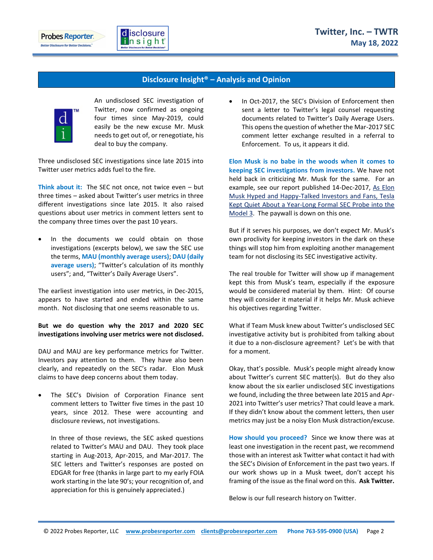



## **Disclosure Insight® – Analysis and Opinion**



An undisclosed SEC investigation of Twitter, now confirmed as ongoing four times since May-2019, could easily be the new excuse Mr. Musk needs to get out of, or renegotiate, his deal to buy the company.

Three undisclosed SEC investigations since late 2015 into Twitter user metrics adds fuel to the fire.

**Think about it:** The SEC not once, not twice even – but three times – asked about Twitter's user metrics in three different investigations since late 2015. It also raised questions about user metrics in comment letters sent to the company three times over the past 10 years.

In the documents we could obtain on those investigations (excerpts below), we saw the SEC use the terms, **MAU (monthly average users)**; **DAU (daily average users)**; "Twitter's calculation of its monthly users"; and, "Twitter's Daily Average Users".

The earliest investigation into user metrics, in Dec-2015, appears to have started and ended within the same month. Not disclosing that one seems reasonable to us.

**But we do question why the 2017 and 2020 SEC investigations involving user metrics were not disclosed.**

DAU and MAU are key performance metrics for Twitter. Investors pay attention to them. They have also been clearly, and repeatedly on the SEC's radar. Elon Musk claims to have deep concerns about them today.

The SEC's Division of Corporation Finance sent comment letters to Twitter five times in the past 10 years, since 2012. These were accounting and disclosure reviews, not investigations.

In three of those reviews, the SEC asked questions related to Twitter's MAU and DAU. They took place starting in Aug-2013, Apr-2015, and Mar-2017. The SEC letters and Twitter's responses are posted on EDGAR for free (thanks in large part to my early FOIA work starting in the late 90's; your recognition of, and appreciation for this is genuinely appreciated.)

In Oct-2017, the SEC's Division of Enforcement then sent a letter to Twitter's legal counsel requesting documents related to Twitter's Daily Average Users. This opens the question of whether the Mar-2017 SEC comment letter exchange resulted in a referral to Enforcement. To us, it appears it did.

**Elon Musk is no babe in the woods when it comes to keeping SEC investigations from investors.** We have not held back in criticizing Mr. Musk for the same. For an example, see our report published 14-Dec-2017, [As Elon](https://probesreporter.com/news/elon-musk-hyped-and-happy-talked-investors-and-fans-tesla-kept-quiet-about-year-long-formal-sec)  [Musk Hyped and Happy-Talked Investors and Fans, Tesla](https://probesreporter.com/news/elon-musk-hyped-and-happy-talked-investors-and-fans-tesla-kept-quiet-about-year-long-formal-sec)  [Kept Quiet About a Year-Long Formal SEC Probe into the](https://probesreporter.com/news/elon-musk-hyped-and-happy-talked-investors-and-fans-tesla-kept-quiet-about-year-long-formal-sec)  [Model 3.](https://probesreporter.com/news/elon-musk-hyped-and-happy-talked-investors-and-fans-tesla-kept-quiet-about-year-long-formal-sec) The paywall is down on this one.

But if it serves his purposes, we don't expect Mr. Musk's own proclivity for keeping investors in the dark on these things will stop him from exploiting another management team for not disclosing its SEC investigative activity.

The real trouble for Twitter will show up if management kept this from Musk's team, especially if the exposure would be considered material by them. Hint: Of course they will consider it material if it helps Mr. Musk achieve his objectives regarding Twitter.

What if Team Musk knew about Twitter's undisclosed SEC investigative activity but is prohibited from talking about it due to a non-disclosure agreement? Let's be with that for a moment.

Okay, that's possible. Musk's people might already know about Twitter's current SEC matter(s). But do they also know about the six earlier undisclosed SEC investigations we found, including the three between late 2015 and Apr-2021 into Twitter's user metrics? That could leave a mark. If they didn't know about the comment letters, then user metrics may just be a noisy Elon Musk distraction/excuse.

**How should you proceed?** Since we know there was at least one investigation in the recent past, we recommend those with an interest ask Twitter what contact it had with the SEC's Division of Enforcement in the past two years. If our work shows up in a Musk tweet, don't accept his framing of the issue as the final word on this. **Ask Twitter.**

Below is our full research history on Twitter.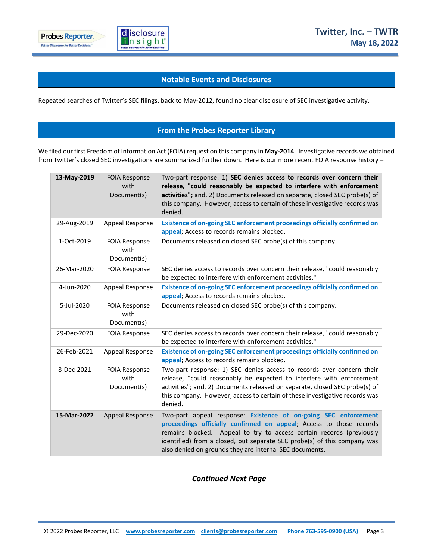

## **Notable Events and Disclosures**

Repeated searches of Twitter's SEC filings, back to May-2012, found no clear disclosure of SEC investigative activity.

# **From the Probes Reporter Library**

We filed our first Freedom of Information Act (FOIA) request on this company in **May-2014**. Investigative records we obtained from Twitter's closed SEC investigations are summarized further down. Here is our more recent FOIA response history –

| 13-May-2019 | <b>FOIA Response</b><br>with<br>Document(s) | Two-part response: 1) SEC denies access to records over concern their<br>release, "could reasonably be expected to interfere with enforcement<br>activities"; and, 2) Documents released on separate, closed SEC probe(s) of<br>this company. However, access to certain of these investigative records was<br>denied.                                |
|-------------|---------------------------------------------|-------------------------------------------------------------------------------------------------------------------------------------------------------------------------------------------------------------------------------------------------------------------------------------------------------------------------------------------------------|
| 29-Aug-2019 | Appeal Response                             | Existence of on-going SEC enforcement proceedings officially confirmed on<br>appeal; Access to records remains blocked.                                                                                                                                                                                                                               |
| 1-Oct-2019  | <b>FOIA Response</b><br>with<br>Document(s) | Documents released on closed SEC probe(s) of this company.                                                                                                                                                                                                                                                                                            |
| 26-Mar-2020 | <b>FOIA Response</b>                        | SEC denies access to records over concern their release, "could reasonably<br>be expected to interfere with enforcement activities."                                                                                                                                                                                                                  |
| 4-Jun-2020  | Appeal Response                             | Existence of on-going SEC enforcement proceedings officially confirmed on<br>appeal; Access to records remains blocked.                                                                                                                                                                                                                               |
| 5-Jul-2020  | <b>FOIA Response</b><br>with<br>Document(s) | Documents released on closed SEC probe(s) of this company.                                                                                                                                                                                                                                                                                            |
| 29-Dec-2020 | <b>FOIA Response</b>                        | SEC denies access to records over concern their release, "could reasonably<br>be expected to interfere with enforcement activities."                                                                                                                                                                                                                  |
| 26-Feb-2021 | Appeal Response                             | Existence of on-going SEC enforcement proceedings officially confirmed on<br>appeal; Access to records remains blocked.                                                                                                                                                                                                                               |
| 8-Dec-2021  | <b>FOIA Response</b><br>with<br>Document(s) | Two-part response: 1) SEC denies access to records over concern their<br>release, "could reasonably be expected to interfere with enforcement<br>activities"; and, 2) Documents released on separate, closed SEC probe(s) of<br>this company. However, access to certain of these investigative records was<br>denied.                                |
| 15-Mar-2022 | <b>Appeal Response</b>                      | Two-part appeal response: Existence of on-going SEC enforcement<br>proceedings officially confirmed on appeal; Access to those records<br>remains blocked. Appeal to try to access certain records (previously<br>identified) from a closed, but separate SEC probe(s) of this company was<br>also denied on grounds they are internal SEC documents. |

*Continued Next Page*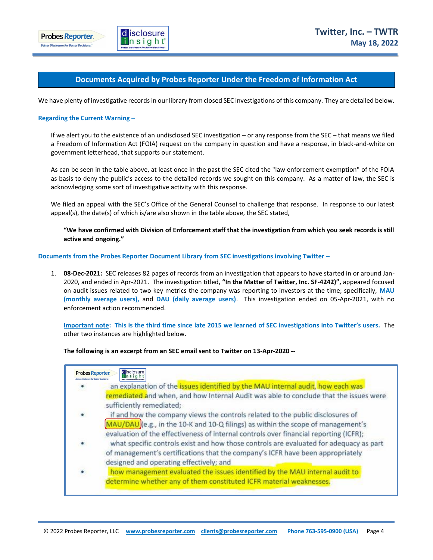



### **Documents Acquired by Probes Reporter Under the Freedom of Information Act**

We have plenty of investigative records in our library from closed SEC investigations of this company. They are detailed below.

#### **Regarding the Current Warning –**

If we alert you to the existence of an undisclosed SEC investigation – or any response from the SEC – that means we filed a Freedom of Information Act (FOIA) request on the company in question and have a response, in black-and-white on government letterhead, that supports our statement.

As can be seen in the table above, at least once in the past the SEC cited the "law enforcement exemption" of the FOIA as basis to deny the public's access to the detailed records we sought on this company. As a matter of law, the SEC is acknowledging some sort of investigative activity with this response.

We filed an appeal with the SEC's Office of the General Counsel to challenge that response. In response to our latest appeal(s), the date(s) of which is/are also shown in the table above, the SEC stated,

**"We have confirmed with Division of Enforcement staff that the investigation from which you seek records is still active and ongoing."**

#### **Documents from the Probes Reporter Document Library from SEC investigations involving Twitter –**

1. **08-Dec-2021:** SEC releases 82 pages of records from an investigation that appears to have started in or around Jan-2020, and ended in Apr-2021. The investigation titled, **"In the Matter of Twitter, Inc. SF-4242)",** appeared focused on audit issues related to two key metrics the company was reporting to investors at the time; specifically, **MAU (monthly average users),** and **DAU (daily average users)**. This investigation ended on 05-Apr-2021, with no enforcement action recommended.

**Important note: This is the third time since late 2015 we learned of SEC investigations into Twitter's users.** The other two instances are highlighted below.

#### **The following is an excerpt from an SEC email sent to Twitter on 13-Apr-2020 --**

| disclosure<br>an explanation of the issues identified by the MAU internal audit, how each was                                                                                                                                                               |
|-------------------------------------------------------------------------------------------------------------------------------------------------------------------------------------------------------------------------------------------------------------|
| remediated and when, and how Internal Audit was able to conclude that the issues were<br>sufficiently remediated;                                                                                                                                           |
| if and how the company views the controls related to the public disclosures of<br>MAU/DAU (e.g., in the 10-K and 10-Q filings) as within the scope of management's<br>evaluation of the effectiveness of internal controls over financial reporting (ICFR); |
| what specific controls exist and how those controls are evaluated for adequacy as part<br>of management's certifications that the company's ICFR have been appropriately<br>designed and operating effectively; and                                         |
| how management evaluated the issues identified by the MAU internal audit to<br>determine whether any of them constituted ICFR material weaknesses.                                                                                                          |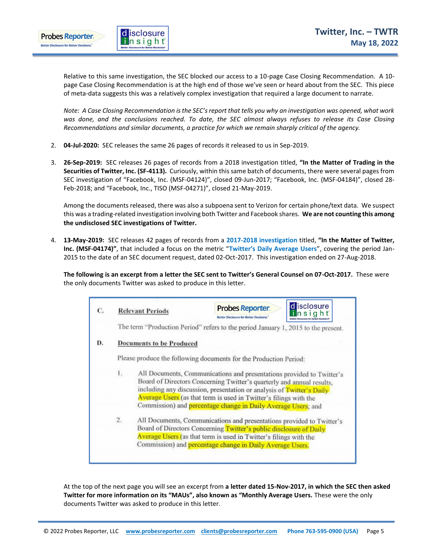

Relative to this same investigation, the SEC blocked our access to a 10-page Case Closing Recommendation. A 10 page Case Closing Recommendation is at the high end of those we've seen or heard about from the SEC. This piece of meta-data suggests this was a relatively complex investigation that required a large document to narrate.

*Note: A Case Closing Recommendation is the SEC's report that tells you why an investigation was opened, what work was done, and the conclusions reached. To date, the SEC almost always refuses to release its Case Closing Recommendations and similar documents, a practice for which we remain sharply critical of the agency.* 

- 2. **04-Jul-2020:** SEC releases the same 26 pages of records it released to us in Sep-2019.
- 3. **26-Sep-2019:** SEC releases 26 pages of records from a 2018 investigation titled, **"In the Matter of Trading in the Securities of Twitter, Inc. (SF-4113).** Curiously, within this same batch of documents, there were several pages from SEC investigation of "Facebook, Inc. (MSF-04124)", closed 09-Jun-2017; "Facebook, Inc. (MSF-04184)", closed 28- Feb-2018; and "Facebook, Inc., TISO (MSF-04271)", closed 21-May-2019.

Among the documents released, there was also a subpoena sent to Verizon for certain phone/text data. We suspect this was a trading-related investigation involving both Twitter and Facebook shares. **We are not counting this among the undisclosed SEC investigations of Twitter.**

4. **13-May-2019:** SEC releases 42 pages of records from a **2017-2018 investigation** titled, **"In the Matter of Twitter, Inc. (MSF-04174)"**, that included a focus on the metric "**Twitter's Daily Average Users**", covering the period Jan-2015 to the date of an SEC document request, dated 02-Oct-2017. This investigation ended on 27-Aug-2018.

**The following is an excerpt from a letter the SEC sent to Twitter's General Counsel on 07-Oct-2017.** These were the only documents Twitter was asked to produce in this letter.

|    | <b>Relevant Periods</b>         | d isclosure<br><b>Probes Reporter.</b><br>th sight<br>Better Disclosure for Better Decisions.                                                                                                                                                                                                                                                                 |  |
|----|---------------------------------|---------------------------------------------------------------------------------------------------------------------------------------------------------------------------------------------------------------------------------------------------------------------------------------------------------------------------------------------------------------|--|
|    |                                 | The term "Production Period" refers to the period January 1, 2015 to the present.                                                                                                                                                                                                                                                                             |  |
|    | <b>Documents to be Produced</b> |                                                                                                                                                                                                                                                                                                                                                               |  |
|    |                                 | Please produce the following documents for the Production Period:                                                                                                                                                                                                                                                                                             |  |
| 1. |                                 | All Documents, Communications and presentations provided to Twitter's<br>Board of Directors Concerning Twitter's quarterly and annual results,<br>including any discussion, presentation or analysis of Twitter's Daily<br>Average Users (as that term is used in Twitter's filings with the<br>Commission) and percentage change in Daily Average Users; and |  |
| 2. |                                 | All Documents, Communications and presentations provided to Twitter's<br>Board of Directors Concerning Twitter's public disclosure of Daily<br>Average Users (as that term is used in Twitter's filings with the<br>Commission) and percentage change in Daily Average Users.                                                                                 |  |

At the top of the next page you will see an excerpt from **a letter dated 15-Nov-2017, in which the SEC then asked Twitter for more information on its "MAUs", also known as "Monthly Average Users.** These were the only documents Twitter was asked to produce in this letter.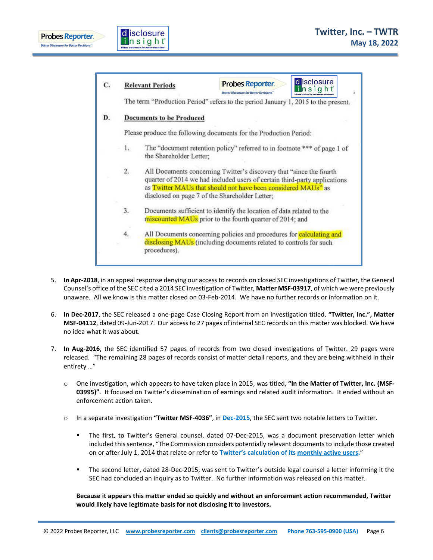



|    | <b>Relevant Periods</b>                                                                                                                                                                                                                                              | Probes Reporter.<br><b>Better Disclosure for Better Decisions."</b>               | d isclosure<br>insight |  |  |
|----|----------------------------------------------------------------------------------------------------------------------------------------------------------------------------------------------------------------------------------------------------------------------|-----------------------------------------------------------------------------------|------------------------|--|--|
|    |                                                                                                                                                                                                                                                                      | The term "Production Period" refers to the period January 1, 2015 to the present. |                        |  |  |
|    | <b>Documents to be Produced</b>                                                                                                                                                                                                                                      |                                                                                   |                        |  |  |
|    |                                                                                                                                                                                                                                                                      | Please produce the following documents for the Production Period:                 |                        |  |  |
| 1. | The "document retention policy" referred to in footnote *** of page 1 of<br>the Shareholder Letter;                                                                                                                                                                  |                                                                                   |                        |  |  |
| 2. | All Documents concerning Twitter's discovery that "since the fourth"<br>quarter of 2014 we had included users of certain third-party applications<br>as Twitter MAUs that should not have been considered MAUs" as<br>disclosed on page 7 of the Shareholder Letter; |                                                                                   |                        |  |  |
| 3. | Documents sufficient to identify the location of data related to the<br>miscounted MAUs prior to the fourth quarter of 2014; and                                                                                                                                     |                                                                                   |                        |  |  |
| 4. | All Documents concerning policies and procedures for <b>calculating and</b><br>disclosing MAUs (including documents related to controls for such<br>procedures).                                                                                                     |                                                                                   |                        |  |  |

- 5. **In Apr-2018**, in an appeal response denying our access to records on closed SEC investigations of Twitter, the General Counsel's office of the SEC cited a 2014 SEC investigation of Twitter, **Matter MSF-03917**, of which we were previously unaware. All we know is this matter closed on 03-Feb-2014. We have no further records or information on it.
- 6. **In Dec-2017**, the SEC released a one-page Case Closing Report from an investigation titled, **"Twitter, Inc.", Matter MSF-04112**, dated 09-Jun-2017. Our access to 27 pages of internal SEC records on this matter was blocked. We have no idea what it was about.
- 7. **In Aug-2016**, the SEC identified 57 pages of records from two closed investigations of Twitter. 29 pages were released. "The remaining 28 pages of records consist of matter detail reports, and they are being withheld in their entirety …"
	- o One investigation, which appears to have taken place in 2015, was titled, **"In the Matter of Twitter, Inc. (MSF-03995)"**. It focused on Twitter's dissemination of earnings and related audit information. It ended without an enforcement action taken.
	- o In a separate investigation **"Twitter MSF-4036"**, in **Dec-2015**, the SEC sent two notable letters to Twitter.
		- " The first, to Twitter's General counsel, dated 07-Dec-2015, was a document preservation letter which included this sentence, "The Commission considers potentially relevant documents to include those created on or after July 1, 2014 that relate or refer to **Twitter's calculation of its monthly active users.**"
		- The second letter, dated 28-Dec-2015, was sent to Twitter's outside legal counsel a letter informing it the SEC had concluded an inquiry as to Twitter. No further information was released on this matter.

**Because it appears this matter ended so quickly and without an enforcement action recommended, Twitter would likely have legitimate basis for not disclosing it to investors.**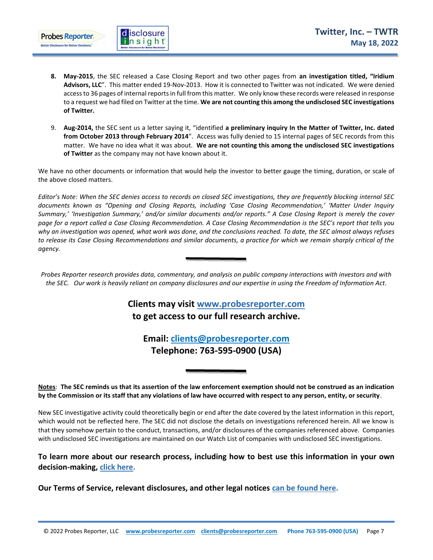

- **8. May-2015**, the SEC released a Case Closing Report and two other pages from **an investigation titled, "Iridium Advisors, LLC**". This matter ended 19-Nov-2013. How it is connected to Twitter was not indicated. We were denied access to 36 pages of internal reports in full from this matter. We only know these records were released in response to a request we had filed on Twitter at the time. **We are not counting this among the undisclosed SEC investigations of Twitter.**
- 9. **Aug-2014,** the SEC sent us a letter saying it, "identified **a preliminary inquiry In the Matter of Twitter, Inc. dated from October 2013 through February 2014**". Access was fully denied to 15 internal pages of SEC records from this matter. We have no idea what it was about. **We are not counting this among the undisclosed SEC investigations of Twitter** as the company may not have known about it.

We have no other documents or information that would help the investor to better gauge the timing, duration, or scale of the above closed matters.

*Editor's Note: When the SEC denies access to records on closed SEC investigations, they are frequently blocking internal SEC documents known as "Opening and Closing Reports, including 'Case Closing Recommendation,' 'Matter Under Inquiry Summary,' 'Investigation Summary,' and/or similar documents and/or reports." A Case Closing Report is merely the cover page for a report called a Case Closing Recommendation. A Case Closing Recommendation is the SEC's report that tells you why an investigation was opened, what work was done, and the conclusions reached. To date, the SEC almost always refuses to release its Case Closing Recommendations and similar documents, a practice for which we remain sharply critical of the agency.* 

*Probes Reporter research provides data, commentary, and analysis on public company interactions with investors and with the SEC. Our work is heavily reliant on company disclosures and our expertise in using the Freedom of Information Act.*

# **Clients may visit www[.probesreporter.](http://www.probesreporter.com/)com to get access to our full research archive.**

**Email: [clients@probesreporter.com](mailto:clients@probesreporter.com) Telephone: 763-595-0900 (USA)**

**Notes**: **The SEC reminds us that its assertion of the law enforcement exemption should not be construed as an indication by the Commission or its staff that any violations of law have occurred with respect to any person, entity, or security**.

New SEC investigative activity could theoretically begin or end after the date covered by the latest information in this report, which would not be reflected here. The SEC did not disclose the details on investigations referenced herein. All we know is that they somehow pertain to the conduct, transactions, and/or disclosures of the companies referenced above. Companies with undisclosed SEC investigations are maintained on our Watch List of companies with undisclosed SEC investigations.

# **To learn more about our research process, including how to best use this information in your own decision-making, [click here.](https://probesreporter.com/our-research-process)**

**Our Terms of Service, relevant disclosures, and other legal notices [can be found here.](https://probesreporter.com/legal)**